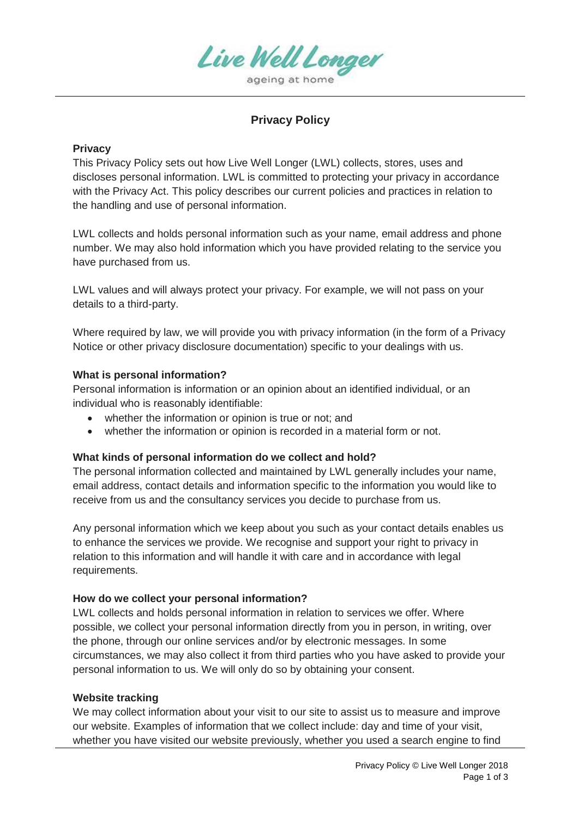

# **Privacy Policy**

### **Privacy**

This Privacy Policy sets out how Live Well Longer (LWL) collects, stores, uses and discloses personal information. LWL is committed to protecting your privacy in accordance with the Privacy Act. This policy describes our current policies and practices in relation to the handling and use of personal information.

LWL collects and holds personal information such as your name, email address and phone number. We may also hold information which you have provided relating to the service you have purchased from us.

LWL values and will always protect your privacy. For example, we will not pass on your details to a third-party.

Where required by law, we will provide you with privacy information (in the form of a Privacy Notice or other privacy disclosure documentation) specific to your dealings with us.

### **What is personal information?**

Personal information is information or an opinion about an identified individual, or an individual who is reasonably identifiable:

- whether the information or opinion is true or not; and
- whether the information or opinion is recorded in a material form or not.

### **What kinds of personal information do we collect and hold?**

The personal information collected and maintained by LWL generally includes your name, email address, contact details and information specific to the information you would like to receive from us and the consultancy services you decide to purchase from us.

Any personal information which we keep about you such as your contact details enables us to enhance the services we provide. We recognise and support your right to privacy in relation to this information and will handle it with care and in accordance with legal requirements.

## **How do we collect your personal information?**

LWL collects and holds personal information in relation to services we offer. Where possible, we collect your personal information directly from you in person, in writing, over the phone, through our online services and/or by electronic messages. In some circumstances, we may also collect it from third parties who you have asked to provide your personal information to us. We will only do so by obtaining your consent.

### **Website tracking**

We may collect information about your visit to our site to assist us to measure and improve our website. Examples of information that we collect include: day and time of your visit, whether you have visited our website previously, whether you used a search engine to find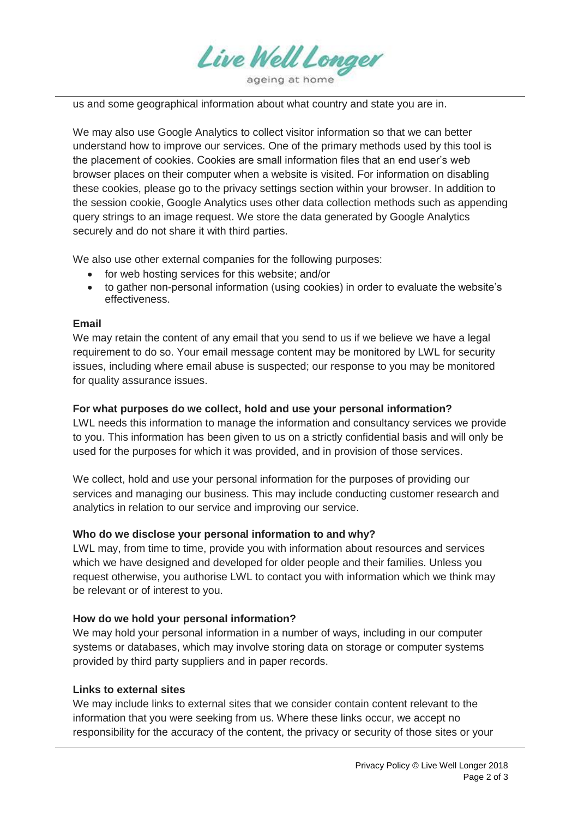

us and some geographical information about what country and state you are in.

We may also use Google Analytics to collect visitor information so that we can better understand how to improve our services. One of the primary methods used by this tool is the placement of cookies. Cookies are small information files that an end user's web browser places on their computer when a website is visited. For information on disabling these cookies, please go to the privacy settings section within your browser. In addition to the session cookie, Google Analytics uses other data collection methods such as appending query strings to an image request. We store the data generated by Google Analytics securely and do not share it with third parties.

We also use other external companies for the following purposes:

- for web hosting services for this website; and/or
- to gather non-personal information (using cookies) in order to evaluate the website's effectiveness.

### **Email**

We may retain the content of any email that you send to us if we believe we have a legal requirement to do so. Your email message content may be monitored by LWL for security issues, including where email abuse is suspected; our response to you may be monitored for quality assurance issues.

### **For what purposes do we collect, hold and use your personal information?**

LWL needs this information to manage the information and consultancy services we provide to you. This information has been given to us on a strictly confidential basis and will only be used for the purposes for which it was provided, and in provision of those services.

We collect, hold and use your personal information for the purposes of providing our services and managing our business. This may include conducting customer research and analytics in relation to our service and improving our service.

## **Who do we disclose your personal information to and why?**

LWL may, from time to time, provide you with information about resources and services which we have designed and developed for older people and their families. Unless you request otherwise, you authorise LWL to contact you with information which we think may be relevant or of interest to you.

### **How do we hold your personal information?**

We may hold your personal information in a number of ways, including in our computer systems or databases, which may involve storing data on storage or computer systems provided by third party suppliers and in paper records.

### **Links to external sites**

We may include links to external sites that we consider contain content relevant to the information that you were seeking from us. Where these links occur, we accept no responsibility for the accuracy of the content, the privacy or security of those sites or your